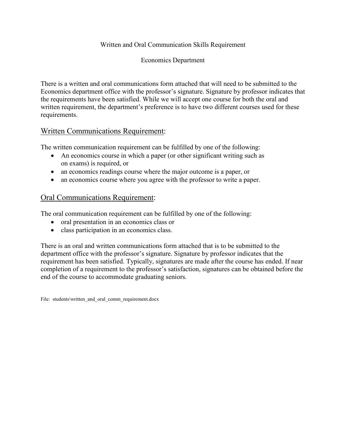### Written and Oral Communication Skills Requirement

#### Economics Department

There is a written and oral communications form attached that will need to be submitted to the Economics department office with the professor's signature. Signature by professor indicates that the requirements have been satisfied. While we will accept one course for both the oral and written requirement, the department's preference is to have two different courses used for these requirements.

### Written Communications Requirement:

The written communication requirement can be fulfilled by one of the following:

- An economics course in which a paper (or other significant writing such as on exams) is required, or
- an economics readings course where the major outcome is a paper, or
- an economics course where you agree with the professor to write a paper.

# Oral Communications Requirement:

The oral communication requirement can be fulfilled by one of the following:

- oral presentation in an economics class or
- class participation in an economics class.

There is an oral and written communications form attached that is to be submitted to the department office with the professor's signature. Signature by professor indicates that the requirement has been satisfied. Typically, signatures are made after the course has ended. If near completion of a requirement to the professor's satisfaction, signatures can be obtained before the end of the course to accommodate graduating seniors.

File: students\written and oral comm\_requirement.docx